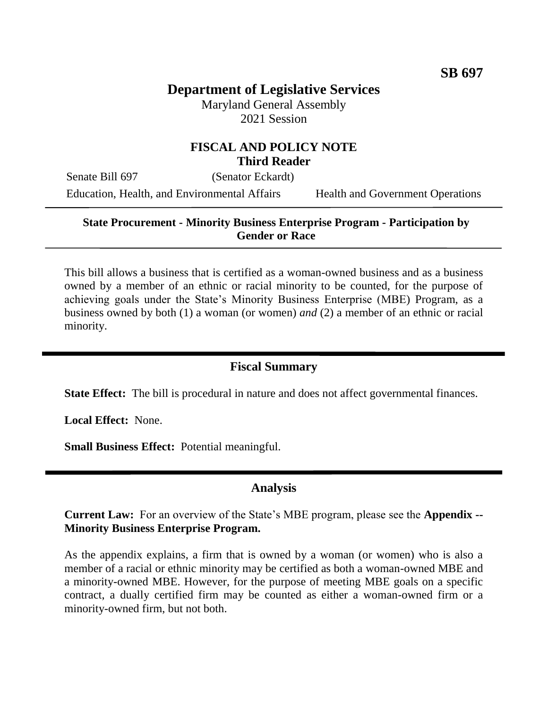# **Department of Legislative Services**

Maryland General Assembly 2021 Session

# **FISCAL AND POLICY NOTE Third Reader**

Senate Bill 697 (Senator Eckardt) Education, Health, and Environmental Affairs Health and Government Operations

### **State Procurement - Minority Business Enterprise Program - Participation by Gender or Race**

This bill allows a business that is certified as a woman-owned business and as a business owned by a member of an ethnic or racial minority to be counted, for the purpose of achieving goals under the State's Minority Business Enterprise (MBE) Program, as a business owned by both (1) a woman (or women) *and* (2) a member of an ethnic or racial minority.

# **Fiscal Summary**

**State Effect:** The bill is procedural in nature and does not affect governmental finances.

**Local Effect:** None.

**Small Business Effect:** Potential meaningful.

# **Analysis**

**Current Law:** For an overview of the State's MBE program, please see the **Appendix -- Minority Business Enterprise Program.**

As the appendix explains, a firm that is owned by a woman (or women) who is also a member of a racial or ethnic minority may be certified as both a woman-owned MBE and a minority-owned MBE. However, for the purpose of meeting MBE goals on a specific contract, a dually certified firm may be counted as either a woman-owned firm or a minority-owned firm, but not both.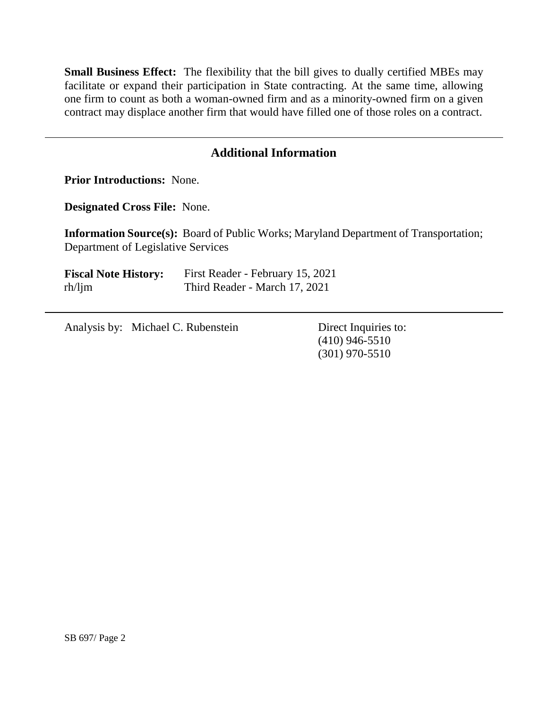**Small Business Effect:** The flexibility that the bill gives to dually certified MBEs may facilitate or expand their participation in State contracting. At the same time, allowing one firm to count as both a woman-owned firm and as a minority-owned firm on a given contract may displace another firm that would have filled one of those roles on a contract.

# **Additional Information**

**Prior Introductions:** None.

**Designated Cross File:** None.

**Information Source(s):** Board of Public Works; Maryland Department of Transportation; Department of Legislative Services

| <b>Fiscal Note History:</b> | First Reader - February 15, 2021 |
|-----------------------------|----------------------------------|
| $rh/l$ jm                   | Third Reader - March 17, 2021    |

Analysis by: Michael C. Rubenstein Direct Inquiries to:

(410) 946-5510 (301) 970-5510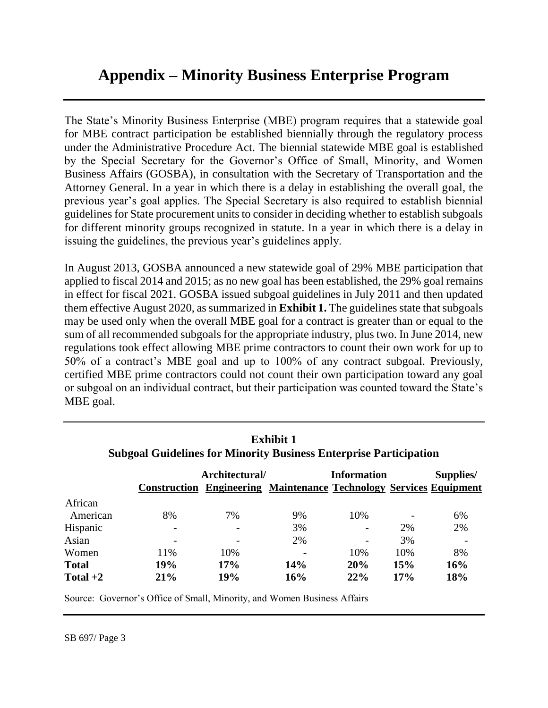# **Appendix – Minority Business Enterprise Program**

The State's Minority Business Enterprise (MBE) program requires that a statewide goal for MBE contract participation be established biennially through the regulatory process under the Administrative Procedure Act. The biennial statewide MBE goal is established by the Special Secretary for the Governor's Office of Small, Minority, and Women Business Affairs (GOSBA), in consultation with the Secretary of Transportation and the Attorney General. In a year in which there is a delay in establishing the overall goal, the previous year's goal applies. The Special Secretary is also required to establish biennial guidelines for State procurement units to consider in deciding whether to establish subgoals for different minority groups recognized in statute. In a year in which there is a delay in issuing the guidelines, the previous year's guidelines apply.

In August 2013, GOSBA announced a new statewide goal of 29% MBE participation that applied to fiscal 2014 and 2015; as no new goal has been established, the 29% goal remains in effect for fiscal 2021. GOSBA issued subgoal guidelines in July 2011 and then updated them effective August 2020, as summarized in **Exhibit 1.** The guidelines state that subgoals may be used only when the overall MBE goal for a contract is greater than or equal to the sum of all recommended subgoals for the appropriate industry, plus two. In June 2014, new regulations took effect allowing MBE prime contractors to count their own work for up to 50% of a contract's MBE goal and up to 100% of any contract subgoal. Previously, certified MBE prime contractors could not count their own participation toward any goal or subgoal on an individual contract, but their participation was counted toward the State's MBE goal.

| Exhibit 1<br><b>Subgoal Guidelines for Minority Business Enterprise Participation</b> |                |     |                                                                                                 |     |     |           |  |  |
|---------------------------------------------------------------------------------------|----------------|-----|-------------------------------------------------------------------------------------------------|-----|-----|-----------|--|--|
|                                                                                       | Architectural/ |     | <b>Information</b><br><b>Construction Engineering Maintenance Technology Services Equipment</b> |     |     | Supplies/ |  |  |
|                                                                                       |                |     |                                                                                                 |     |     |           |  |  |
| African                                                                               |                |     |                                                                                                 |     |     |           |  |  |
| American                                                                              | 8%             | 7%  | 9%                                                                                              | 10% |     | 6%        |  |  |
| Hispanic                                                                              |                |     | 3%                                                                                              |     | 2%  | 2%        |  |  |
| Asian                                                                                 |                |     | 2%                                                                                              |     | 3%  |           |  |  |
| Women                                                                                 | 11%            | 10% |                                                                                                 | 10% | 10% | 8%        |  |  |
| <b>Total</b>                                                                          | 19%            | 17% | 14%                                                                                             | 20% | 15% | 16%       |  |  |
| Total $+2$                                                                            | 21%            | 19% | 16%                                                                                             | 22% | 17% | 18%       |  |  |

# **Exhibit 1**

Source: Governor's Office of Small, Minority, and Women Business Affairs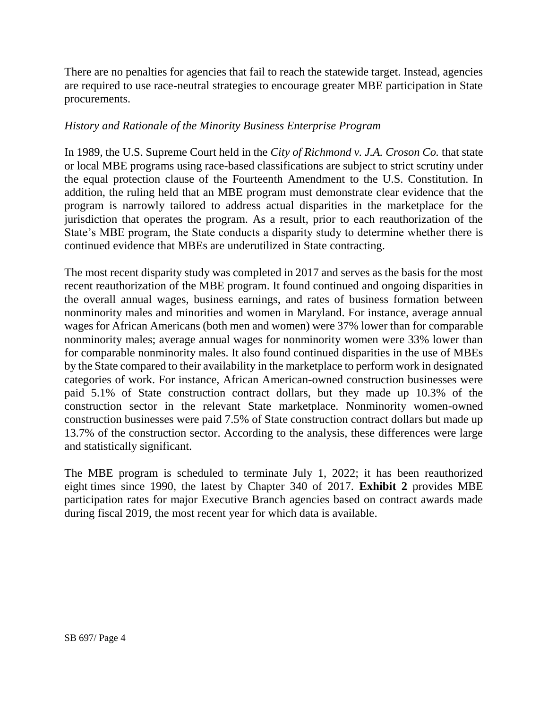There are no penalties for agencies that fail to reach the statewide target. Instead, agencies are required to use race-neutral strategies to encourage greater MBE participation in State procurements.

### *History and Rationale of the Minority Business Enterprise Program*

In 1989, the U.S. Supreme Court held in the *City of Richmond v. J.A. Croson Co.* that state or local MBE programs using race-based classifications are subject to strict scrutiny under the equal protection clause of the Fourteenth Amendment to the U.S. Constitution. In addition, the ruling held that an MBE program must demonstrate clear evidence that the program is narrowly tailored to address actual disparities in the marketplace for the jurisdiction that operates the program. As a result, prior to each reauthorization of the State's MBE program, the State conducts a disparity study to determine whether there is continued evidence that MBEs are underutilized in State contracting.

The most recent disparity study was completed in 2017 and serves as the basis for the most recent reauthorization of the MBE program. It found continued and ongoing disparities in the overall annual wages, business earnings, and rates of business formation between nonminority males and minorities and women in Maryland. For instance, average annual wages for African Americans (both men and women) were 37% lower than for comparable nonminority males; average annual wages for nonminority women were 33% lower than for comparable nonminority males. It also found continued disparities in the use of MBEs by the State compared to their availability in the marketplace to perform work in designated categories of work. For instance, African American-owned construction businesses were paid 5.1% of State construction contract dollars, but they made up 10.3% of the construction sector in the relevant State marketplace. Nonminority women-owned construction businesses were paid 7.5% of State construction contract dollars but made up 13.7% of the construction sector. According to the analysis, these differences were large and statistically significant.

The MBE program is scheduled to terminate July 1, 2022; it has been reauthorized eight times since 1990, the latest by Chapter 340 of 2017. **Exhibit 2** provides MBE participation rates for major Executive Branch agencies based on contract awards made during fiscal 2019, the most recent year for which data is available.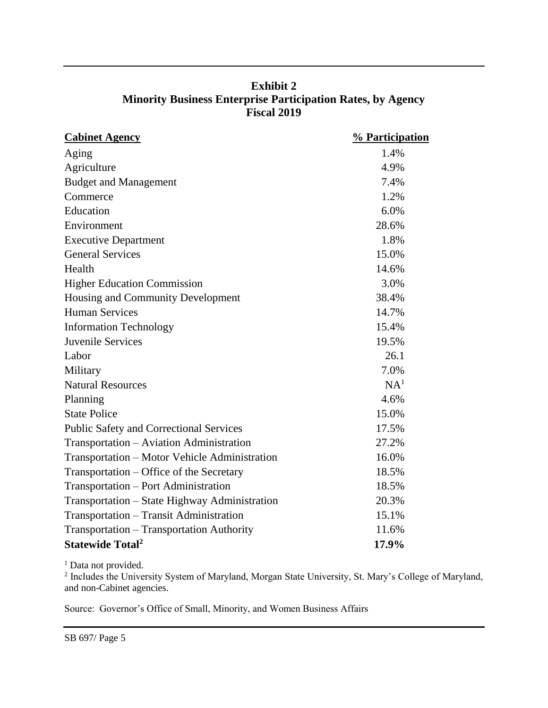| <b>Exhibit 2</b>                                                   |
|--------------------------------------------------------------------|
| <b>Minority Business Enterprise Participation Rates, by Agency</b> |
| <b>Fiscal 2019</b>                                                 |

| <b>Cabinet Agency</b>                          | % Participation |  |  |
|------------------------------------------------|-----------------|--|--|
| Aging                                          | 1.4%            |  |  |
| Agriculture                                    | 4.9%            |  |  |
| <b>Budget and Management</b>                   | 7.4%            |  |  |
| Commerce                                       | 1.2%            |  |  |
| Education                                      | 6.0%            |  |  |
| Environment                                    | 28.6%           |  |  |
| <b>Executive Department</b>                    | 1.8%            |  |  |
| <b>General Services</b>                        | 15.0%           |  |  |
| Health                                         | 14.6%           |  |  |
| <b>Higher Education Commission</b>             | 3.0%            |  |  |
| Housing and Community Development              | 38.4%           |  |  |
| <b>Human Services</b>                          | 14.7%           |  |  |
| <b>Information Technology</b>                  | 15.4%           |  |  |
| Juvenile Services                              | 19.5%           |  |  |
| Labor                                          | 26.1            |  |  |
| Military                                       | 7.0%            |  |  |
| <b>Natural Resources</b>                       | NA <sup>1</sup> |  |  |
| Planning                                       | 4.6%            |  |  |
| <b>State Police</b>                            | 15.0%           |  |  |
| <b>Public Safety and Correctional Services</b> | 17.5%           |  |  |
| Transportation - Aviation Administration       | 27.2%           |  |  |
| Transportation – Motor Vehicle Administration  | 16.0%           |  |  |
| Transportation – Office of the Secretary       | 18.5%           |  |  |
| Transportation - Port Administration           | 18.5%           |  |  |
| Transportation - State Highway Administration  | 20.3%           |  |  |
| Transportation - Transit Administration        | 15.1%           |  |  |
| Transportation - Transportation Authority      | 11.6%           |  |  |
| <b>Statewide Total<sup>2</sup></b>             | 17.9%           |  |  |

<sup>1</sup> Data not provided.<br><sup>2</sup> Includes the University System of Maryland, Morgan State University, St. Mary's College of Maryland, and non-Cabinet agencies.

Source: Governor's Office of Small, Minority, and Women Business Affairs